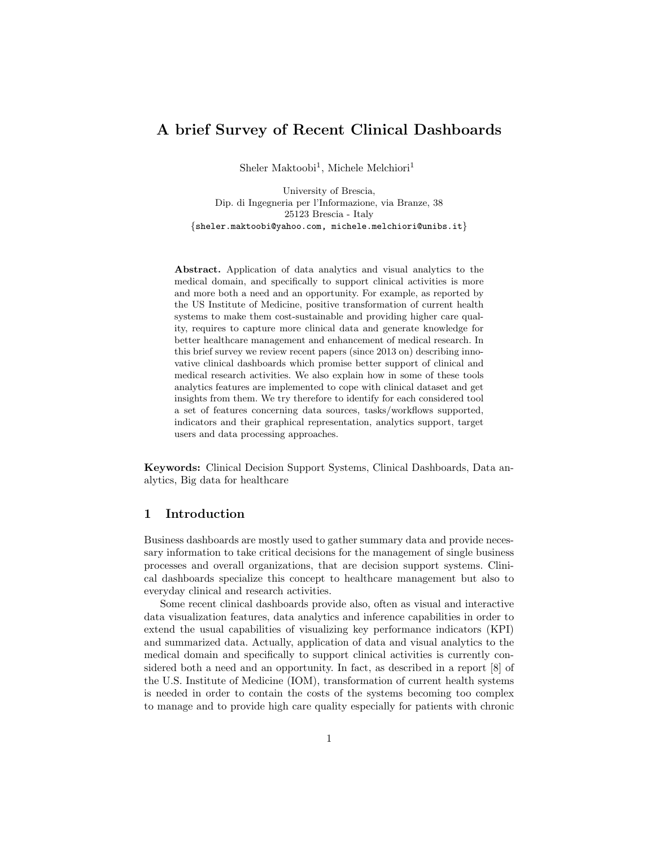# A brief Survey of Recent Clinical Dashboards

Sheler Maktoobi<sup>1</sup>, Michele Melchiori<sup>1</sup>

University of Brescia, Dip. di Ingegneria per l'Informazione, via Branze, 38 25123 Brescia - Italy {sheler.maktoobi@yahoo.com, michele.melchiori@unibs.it}

Abstract. Application of data analytics and visual analytics to the medical domain, and specifically to support clinical activities is more and more both a need and an opportunity. For example, as reported by the US Institute of Medicine, positive transformation of current health systems to make them cost-sustainable and providing higher care quality, requires to capture more clinical data and generate knowledge for better healthcare management and enhancement of medical research. In this brief survey we review recent papers (since 2013 on) describing innovative clinical dashboards which promise better support of clinical and medical research activities. We also explain how in some of these tools analytics features are implemented to cope with clinical dataset and get insights from them. We try therefore to identify for each considered tool a set of features concerning data sources, tasks/workflows supported, indicators and their graphical representation, analytics support, target users and data processing approaches.

Keywords: Clinical Decision Support Systems, Clinical Dashboards, Data analytics, Big data for healthcare

#### 1 Introduction

Business dashboards are mostly used to gather summary data and provide necessary information to take critical decisions for the management of single business processes and overall organizations, that are decision support systems. Clinical dashboards specialize this concept to healthcare management but also to everyday clinical and research activities.

Some recent clinical dashboards provide also, often as visual and interactive data visualization features, data analytics and inference capabilities in order to extend the usual capabilities of visualizing key performance indicators (KPI) and summarized data. Actually, application of data and visual analytics to the medical domain and specifically to support clinical activities is currently considered both a need and an opportunity. In fact, as described in a report [8] of the U.S. Institute of Medicine (IOM), transformation of current health systems is needed in order to contain the costs of the systems becoming too complex to manage and to provide high care quality especially for patients with chronic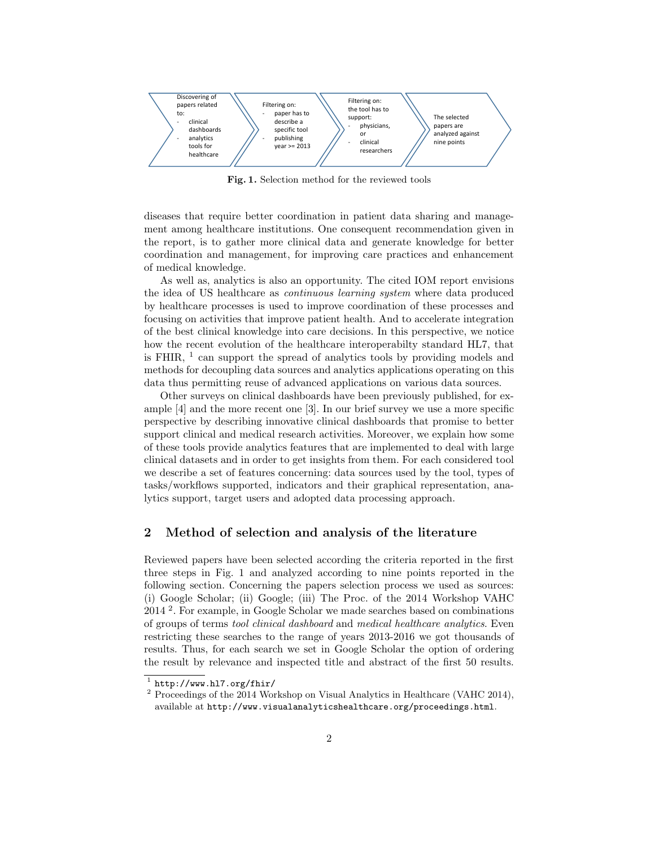

Fig. 1. Selection method for the reviewed tools

diseases that require better coordination in patient data sharing and management among healthcare institutions. One consequent recommendation given in the report, is to gather more clinical data and generate knowledge for better coordination and management, for improving care practices and enhancement of medical knowledge.

As well as, analytics is also an opportunity. The cited IOM report envisions the idea of US healthcare as continuous learning system where data produced by healthcare processes is used to improve coordination of these processes and focusing on activities that improve patient health. And to accelerate integration of the best clinical knowledge into care decisions. In this perspective, we notice how the recent evolution of the healthcare interoperabilty standard HL7, that is FHIR,  $<sup>1</sup>$  can support the spread of analytics tools by providing models and</sup> methods for decoupling data sources and analytics applications operating on this data thus permitting reuse of advanced applications on various data sources.

Other surveys on clinical dashboards have been previously published, for example [4] and the more recent one [3]. In our brief survey we use a more specific perspective by describing innovative clinical dashboards that promise to better support clinical and medical research activities. Moreover, we explain how some of these tools provide analytics features that are implemented to deal with large clinical datasets and in order to get insights from them. For each considered tool we describe a set of features concerning: data sources used by the tool, types of tasks/workflows supported, indicators and their graphical representation, analytics support, target users and adopted data processing approach.

### 2 Method of selection and analysis of the literature

Reviewed papers have been selected according the criteria reported in the first three steps in Fig. 1 and analyzed according to nine points reported in the following section. Concerning the papers selection process we used as sources: (i) Google Scholar; (ii) Google; (iii) The Proc. of the 2014 Workshop VAHC 2014 <sup>2</sup> . For example, in Google Scholar we made searches based on combinations of groups of terms tool clinical dashboard and medical healthcare analytics. Even restricting these searches to the range of years 2013-2016 we got thousands of results. Thus, for each search we set in Google Scholar the option of ordering the result by relevance and inspected title and abstract of the first 50 results.

 $^1$  http://www.hl7.org/fhir/

<sup>&</sup>lt;sup>2</sup> Proceedings of the 2014 Workshop on Visual Analytics in Healthcare (VAHC 2014), available at http://www.visualanalyticshealthcare.org/proceedings.html.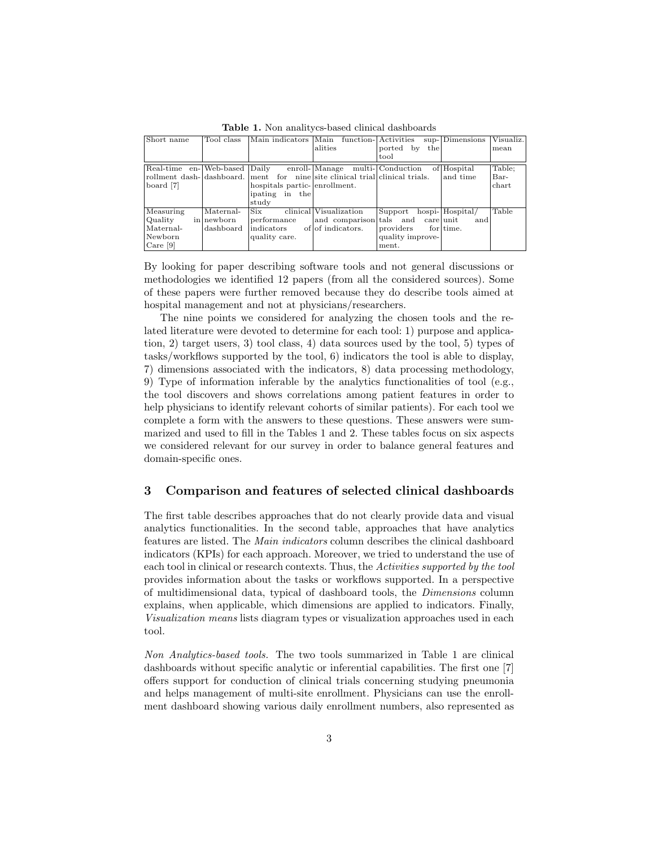| Short name | Tool class | Main indicators Main          |                                                                             | function- Activities | sup-Dimensions  | Visualiz. |
|------------|------------|-------------------------------|-----------------------------------------------------------------------------|----------------------|-----------------|-----------|
|            |            |                               | alities                                                                     | ported by<br>the     |                 | mean      |
|            |            |                               |                                                                             | tool                 |                 |           |
|            |            |                               | Real-time en- Web-based Daily enroll- Manage multi- Conduction              |                      | of Hospital     | Table;    |
|            |            |                               | rollment dash-dashboard. ment for nine site clinical trial clinical trials. |                      | and time        | Bar-      |
| board [7]  |            | hospitals partic- enrollment. |                                                                             |                      |                 | chart     |
|            |            | lipating in the               |                                                                             |                      |                 |           |
|            |            | study                         |                                                                             |                      |                 |           |
| Measuring  | Maternal-  | Six-                          | clinical Visualization                                                      | Support              | hospi-Hospital/ | Table     |
| Quality    | in newborn | $ $ performance               | and comparison tals and care unit                                           |                      | and             |           |
| Maternal-  | dashboard  | $ $ indicators                | of of indicators.                                                           | providers            | for time.       |           |
| Newborn    |            | quality care.                 |                                                                             | quality improve-     |                 |           |
| Care $[9]$ |            |                               |                                                                             | ment.                |                 |           |

Table 1. Non analitycs-based clinical dashboards

By looking for paper describing software tools and not general discussions or methodologies we identified 12 papers (from all the considered sources). Some of these papers were further removed because they do describe tools aimed at hospital management and not at physicians/researchers.

The nine points we considered for analyzing the chosen tools and the related literature were devoted to determine for each tool: 1) purpose and application, 2) target users, 3) tool class, 4) data sources used by the tool, 5) types of tasks/workflows supported by the tool, 6) indicators the tool is able to display, 7) dimensions associated with the indicators, 8) data processing methodology, 9) Type of information inferable by the analytics functionalities of tool (e.g., the tool discovers and shows correlations among patient features in order to help physicians to identify relevant cohorts of similar patients). For each tool we complete a form with the answers to these questions. These answers were summarized and used to fill in the Tables 1 and 2. These tables focus on six aspects we considered relevant for our survey in order to balance general features and domain-specific ones.

#### 3 Comparison and features of selected clinical dashboards

The first table describes approaches that do not clearly provide data and visual analytics functionalities. In the second table, approaches that have analytics features are listed. The Main indicators column describes the clinical dashboard indicators (KPIs) for each approach. Moreover, we tried to understand the use of each tool in clinical or research contexts. Thus, the Activities supported by the tool provides information about the tasks or workflows supported. In a perspective of multidimensional data, typical of dashboard tools, the Dimensions column explains, when applicable, which dimensions are applied to indicators. Finally, Visualization means lists diagram types or visualization approaches used in each tool.

Non Analytics-based tools. The two tools summarized in Table 1 are clinical dashboards without specific analytic or inferential capabilities. The first one [7] offers support for conduction of clinical trials concerning studying pneumonia and helps management of multi-site enrollment. Physicians can use the enrollment dashboard showing various daily enrollment numbers, also represented as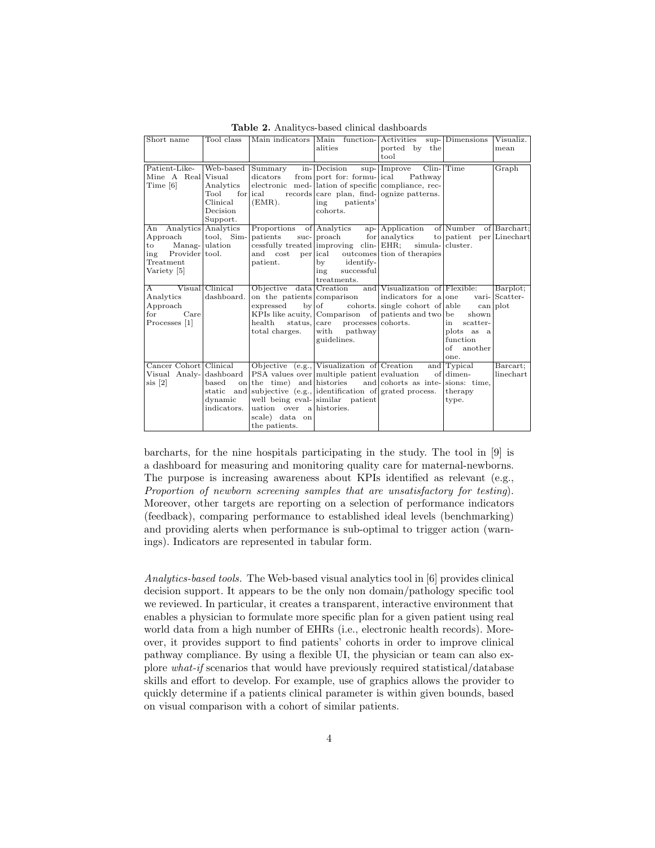| Short name                                                                                                        | Tool class                                                                      |                                                                                                                                                                                      | alities                                                                                                                                                                    | Main indicators Main function-Activities sup-Dimensions<br>ported by the<br>tool                                                                                                                 |                                                                            | Visualiz.<br>mean          |
|-------------------------------------------------------------------------------------------------------------------|---------------------------------------------------------------------------------|--------------------------------------------------------------------------------------------------------------------------------------------------------------------------------------|----------------------------------------------------------------------------------------------------------------------------------------------------------------------------|--------------------------------------------------------------------------------------------------------------------------------------------------------------------------------------------------|----------------------------------------------------------------------------|----------------------------|
| Patient-Like-<br>Mine A Real Visual<br>Time [6]                                                                   | Web-based<br>Analytics<br>Tool<br>for lical<br>Clinical<br>Decision<br>Support. | Summary<br>dicators<br>(EMR).                                                                                                                                                        | in-Decision<br>from port for: formu- ical<br>electronic med- lation of specific compliance, rec-<br>records care plan, find- ognize patterns.<br>ing patients'<br>cohorts. | $sup$ - $ Improve$ Clin- $ Time$<br>Pathway                                                                                                                                                      |                                                                            | Graph                      |
| An Analytics Analytics<br>Approach<br>$Manag-$ ulation<br>to to<br>ing Provider tool.<br>Treatment<br>Variety [5] | tool, Sim-                                                                      | Proportions of Analytics<br>patients<br>and cost<br>patient.                                                                                                                         | suc- proach for analytics<br>per ical outcomes tion of the rapies<br>identify-<br>by<br>successful<br>ing<br>treatments.                                                   | ap- Application of Number<br>cessfully treated improving clin- EHR; simula- cluster.                                                                                                             | to patient per Linechart                                                   | of Barchart:               |
| A<br>Analytics<br>Approach<br>for<br>Care<br>Processes [1]                                                        | Visual Clinical<br>dashboard.                                                   | on the patients comparison<br>health<br>total charges.                                                                                                                               | status, care processes cohorts.<br>with<br>pathway<br>guidelines.                                                                                                          | Objective data Creation and Visualization of Flexible:<br>indicators for a one<br>expressed by of cohorts. single cohort of able can plot<br>KPIs like acuity, Comparison of patients and two be | shown<br>scatter-<br>in<br>plots as a<br>function<br>of<br>another<br>one. | Barplot;<br>vari- Scatter- |
| Cancer Cohort Clinical<br>Visual Analy-dashboard<br>$\sin$ [2]                                                    | based<br>$_{\rm static}$<br>dynamic<br>indicators.                              | on the time) and histories and cohorts as inte-sions: time,<br>and subjective (e.g., dentification of grated process.<br>uation over alhistories.<br>scale) data on<br>the patients. | Objective $\overline{(e.g.,$ Visualization of Creation<br>PSA values over multiple patient evaluation<br>well being eval- similar patient                                  |                                                                                                                                                                                                  | and Typical<br>of dimen-<br>therapy<br>type.                               | Barcart;<br>linechart      |

Table 2. Analitycs-based clinical dashboards

barcharts, for the nine hospitals participating in the study. The tool in [9] is a dashboard for measuring and monitoring quality care for maternal-newborns. The purpose is increasing awareness about KPIs identified as relevant (e.g., Proportion of newborn screening samples that are unsatisfactory for testing). Moreover, other targets are reporting on a selection of performance indicators (feedback), comparing performance to established ideal levels (benchmarking) and providing alerts when performance is sub-optimal to trigger action (warnings). Indicators are represented in tabular form.

Analytics-based tools. The Web-based visual analytics tool in [6] provides clinical decision support. It appears to be the only non domain/pathology specific tool we reviewed. In particular, it creates a transparent, interactive environment that enables a physician to formulate more specific plan for a given patient using real world data from a high number of EHRs (i.e., electronic health records). Moreover, it provides support to find patients' cohorts in order to improve clinical pathway compliance. By using a flexible UI, the physician or team can also explore what-if scenarios that would have previously required statistical/database skills and effort to develop. For example, use of graphics allows the provider to quickly determine if a patients clinical parameter is within given bounds, based on visual comparison with a cohort of similar patients.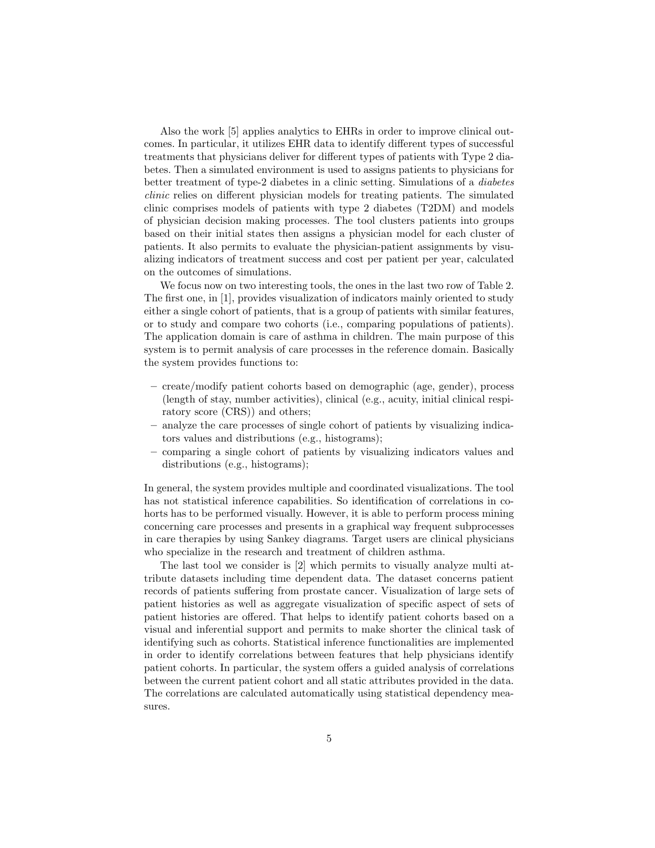Also the work [5] applies analytics to EHRs in order to improve clinical outcomes. In particular, it utilizes EHR data to identify different types of successful treatments that physicians deliver for different types of patients with Type 2 diabetes. Then a simulated environment is used to assigns patients to physicians for better treatment of type-2 diabetes in a clinic setting. Simulations of a diabetes clinic relies on different physician models for treating patients. The simulated clinic comprises models of patients with type 2 diabetes (T2DM) and models of physician decision making processes. The tool clusters patients into groups based on their initial states then assigns a physician model for each cluster of patients. It also permits to evaluate the physician-patient assignments by visualizing indicators of treatment success and cost per patient per year, calculated on the outcomes of simulations.

We focus now on two interesting tools, the ones in the last two row of Table 2. The first one, in [1], provides visualization of indicators mainly oriented to study either a single cohort of patients, that is a group of patients with similar features, or to study and compare two cohorts (i.e., comparing populations of patients). The application domain is care of asthma in children. The main purpose of this system is to permit analysis of care processes in the reference domain. Basically the system provides functions to:

- create/modify patient cohorts based on demographic (age, gender), process (length of stay, number activities), clinical (e.g., acuity, initial clinical respiratory score (CRS)) and others;
- analyze the care processes of single cohort of patients by visualizing indicators values and distributions (e.g., histograms);
- comparing a single cohort of patients by visualizing indicators values and distributions (e.g., histograms);

In general, the system provides multiple and coordinated visualizations. The tool has not statistical inference capabilities. So identification of correlations in cohorts has to be performed visually. However, it is able to perform process mining concerning care processes and presents in a graphical way frequent subprocesses in care therapies by using Sankey diagrams. Target users are clinical physicians who specialize in the research and treatment of children asthma.

The last tool we consider is [2] which permits to visually analyze multi attribute datasets including time dependent data. The dataset concerns patient records of patients suffering from prostate cancer. Visualization of large sets of patient histories as well as aggregate visualization of specific aspect of sets of patient histories are offered. That helps to identify patient cohorts based on a visual and inferential support and permits to make shorter the clinical task of identifying such as cohorts. Statistical inference functionalities are implemented in order to identify correlations between features that help physicians identify patient cohorts. In particular, the system offers a guided analysis of correlations between the current patient cohort and all static attributes provided in the data. The correlations are calculated automatically using statistical dependency measures.